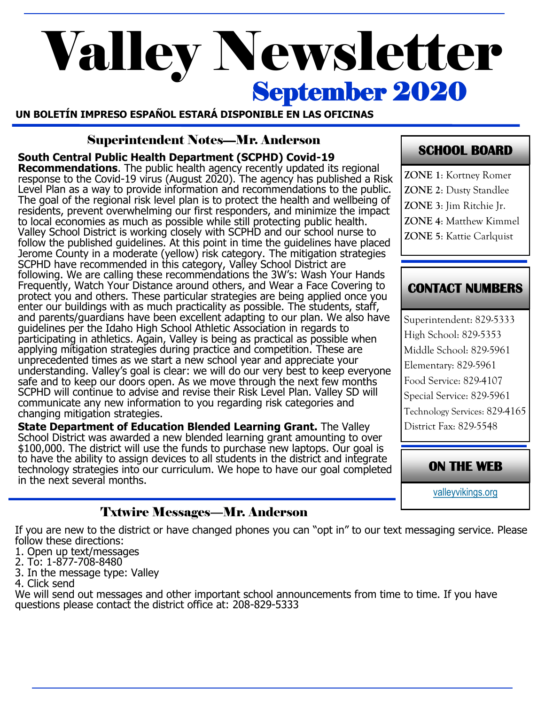# September 2020 Valley Newsletter

**UN BOLETÍN IMPRESO ESPAÑOL ESTARÁ DISPONIBLE EN LAS OFICINAS**

#### Superintendent Notes—Mr. Anderson

**South Central Public Health Department (SCPHD) Covid-19 Recommendations**. The public health agency recently updated its regional response to the Covid-19 virus (August 2020). The agency has published a Risk Level Plan as a way to provide information and recommendations to the public. The goal of the regional risk level plan is to protect the health and wellbeing of residents, prevent overwhelming our first responders, and minimize the impact to local economies as much as possible while still protecting public health. Valley School District is working closely with SCPHD and our school nurse to follow the published guidelines. At this point in time the guidelines have placed Jerome County in a moderate (yellow) risk category. The mitigation strategies SCPHD have recommended in this category, Valley School District are following. We are calling these recommendations the 3W's: Wash Your Hands Frequently, Watch Your Distance around others, and Wear a Face Covering to protect you and others. These particular strategies are being applied once you enter our buildings with as much practicality as possible. The students, staff, and parents/guardians have been excellent adapting to our plan. We also have guidelines per the Idaho High School Athletic Association in regards to participating in athletics. Again, Valley is being as practical as possible when applying mitigation strategies during practice and competition. These are unprecedented times as we start a new school year and appreciate your understanding. Valley's goal is clear: we will do our very best to keep everyone safe and to keep our doors open. As we move through the next few months SCPHD will continue to advise and revise their Risk Level Plan. Valley SD will communicate any new information to you regarding risk categories and changing mitigation strategies. **State Department of Education Blended Learning Grant.** The Valley

School District was awarded a new blended learning grant amounting to over \$100,000. The district will use the funds to purchase new laptops. Our goal is to have the ability to assign devices to all students in the district and integrate technology strategies into our curriculum. We hope to have our goal completed in the next several months.

# **SCHOOL BOARD**

**ZONE 1**: Kortney Romer **ZONE 2**: Dusty Standlee **ZONE 3**: Jim Ritchie Jr. **ZONE 4**: Matthew Kimmel **ZONE 5**: Kattie Carlquist

# **CONTACT NUMBERS**

Superintendent: 829-5333 High School: 829-5353 Middle School: 829-5961 Elementary: 829-5961 Food Service: 829-4107 Special Service: 829-5961 Technology Services: 829-4165 District Fax: 829-5548

**ON THE WEB** 

[valleyvikings.org](http://www.valleyvikings.org/)

# Txtwire Messages—Mr. Anderson

If you are new to the district or have changed phones you can "opt in" to our text messaging service. Please follow these directions:

- 1. Open up text/messages
- 2. To: 1-877-708-8480
- 3. In the message type: Valley
- 4. Click send

We will send out messages and other important school announcements from time to time. If you have questions please contact the district office at: 208-829-5333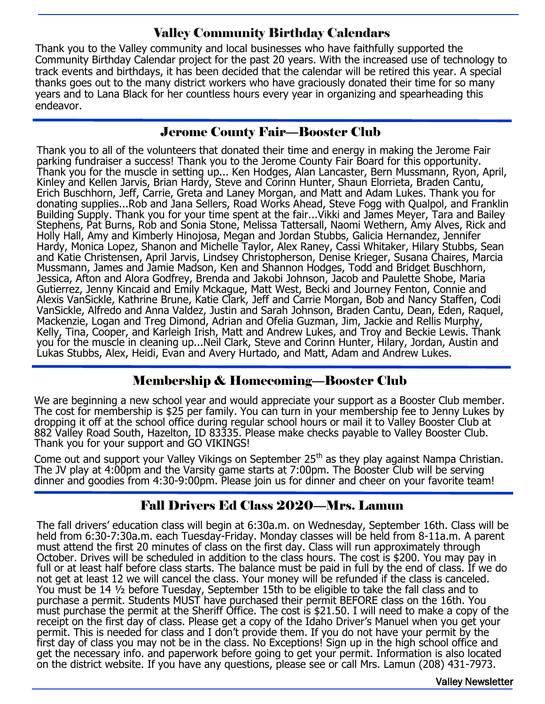## Valley Community Birthday Calendars

Thank you to the Valley community and local businesses who have faithfully supported the Community Birthday Calendar project for the past 20 years. With the increased use of technology to track events and birthdays, it has been decided that the calendar will be retired this year. A special thanks goes out to the many district workers who have graciously donated their time for so many years and to Lana Black for her countless hours every year in organizing and spearheading this endeavor.

#### Jerome County Fair—Booster Club

Thank you to all of the volunteers that donated their time and energy in making the Jerome Fair parking fundraiser a success! Thank you to the Jerome County Fair Board for this opportunity. Thank you for the muscle in setting up... Ken Hodges, Alan Lancaster, Bern Mussmann, Ryon, April, Kinley and Kellen Jarvis, Brian Hardy, Steve and Corinn Hunter, Shaun Elorrieta, Braden Cantu, Erich Buschhorn, Jeff, Carrie, Greta and Laney Morgan, and Matt and Adam Lukes. Thank you for donating supplies...Rob and Jana Sellers, Road Works Ahead, Steve Fogg with Qualpol, and Franklin Building Supply. Thank you for your time spent at the fair...Vikki and James Meyer, Tara and Bailey Stephens, Pat Burns, Rob and Sonia Stone, Melissa Tattersall, Naomi Wethern, Amy Alves, Rick and Holly Hall, Amy and Kimberly Hinojosa, Megan and Jordan Stubbs, Galicia Hernandez, Jennifer Hardy, Monica Lopez, Shanon and Michelle Taylor, Alex Raney, Cassi Whitaker, Hilary Stubbs, Sean and Katie Christensen, April Jarvis, Lindsey Christopherson, Denise Krieger, Susana Chaires, Marcia Mussmann, James and Jamie Madson, Ken and Shannon Hodges, Todd and Bridget Buschhorn, Jessica, Afton and Alora Godfrey, Brenda and Jakobi Johnson, Jacob and Paulette Shobe, Maria Gutierrez, Jenny Kincaid and Emily Mckague, Matt West, Becki and Journey Fenton, Connie and Alexis VanSickle, Kathrine Brune, Katie Clark, Jeff and Carrie Morgan, Bob and Nancy Staffen, Codi VanSickle, Alfredo and Anna Valdez, Justin and Sarah Johnson, Braden Cantu, Dean, Eden, Raquel, Mackenzie, Logan and Treg Dimond, Adrian and Ofelia Guzman, Jim, Jackie and Rellis Murphy, Kelly, Tina, Cooper, and Karleigh Irish, Matt and Andrew Lukes, and Troy and Beckie Lewis. Thank you for the muscle in cleaning up...Neil Clark, Steve and Corinn Hunter, Hilary, Jordan, Austin and Lukas Stubbs, Alex, Heidi, Evan and Avery Hurtado, and Matt, Adam and Andrew Lukes.

#### Membership & Homecoming—Booster Club

We are beginning a new school year and would appreciate your support as a Booster Club member. The cost for membership is \$25 per family. You can turn in your membership fee to Jenny Lukes by dropping it off at the school office during regular school hours or mail it to Valley Booster Club at 882 Valley Road South, Hazelton, ID 83335. Please make checks payable to Valley Booster Club. Thank you for your support and GO VIKINGS!

Come out and support your Valley Vikings on September 25<sup>th</sup> as they play against Nampa Christian. The JV play at 4:00pm and the Varsity game starts at 7:00pm. The Booster Club will be serving dinner and goodies from 4:30-9:00pm. Please join us for dinner and cheer on your favorite team!

#### Fall Drivers Ed Class 2020—Mrs. Lamun

The fall drivers' education class will begin at 6:30a.m. on Wednesday, September 16th. Class will be held from 6:30-7:30a.m. each Tuesday-Friday. Monday classes will be held from 8-11a.m. A parent must attend the first 20 minutes of class on the first day. Class will run approximately through October. Drives will be scheduled in addition to the class hours. The cost is \$200. You may pay in full or at least half before class starts. The balance must be paid in full by the end of class. If we do not get at least 12 we will cancel the class. Your money will be refunded if the class is canceled. You must be 14 ½ before Tuesday, September 15th to be eligible to take the fall class and to purchase a permit. Students MUST have purchased their permit BEFORE class on the 16th. You must purchase the permit at the Sheriff Office. The cost is \$21.50. I will need to make a copy of the receipt on the first day of class. Please get a copy of the Idaho Driver's Manuel when you get your permit. This is needed for class and I don't provide them. If you do not have your permit by the first day of class you may not be in the class. No Exceptions! Sign up in the high school office and get the necessary info. and paperwork before going to get your permit. Information is also located on the district website. If you have any questions, please see or call Mrs. Lamun (208) 431-7973.

Valley Newsletter